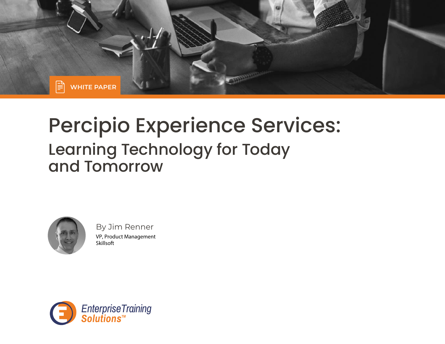

# Percipio Experience Services: Learning Technology for Today and Tomorrow



By Jim Renner VP, Product Management Skillsoft

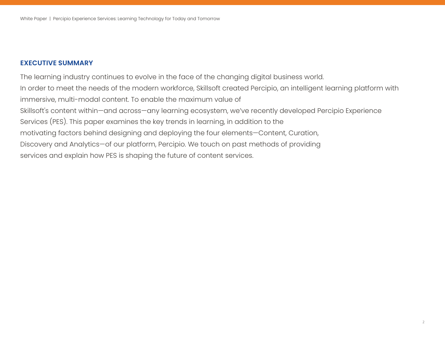### **EXECUTIVE SUMMARY**

The learning industry continues to evolve in the face of the changing digital business world. In order to meet the needs of the modern workforce, Skillsoft created Percipio, an intelligent learning platform with immersive, multi-modal content. To enable the maximum value of Skillsoft's content within—and across—any learning ecosystem, we've recently developed Percipio Experience Services (PES). This paper examines the key trends in learning, in addition to the motivating factors behind designing and deploying the four elements—Content, Curation, Discovery and Analytics—of our platform, Percipio. We touch on past methods of providing services and explain how PES is shaping the future of content services.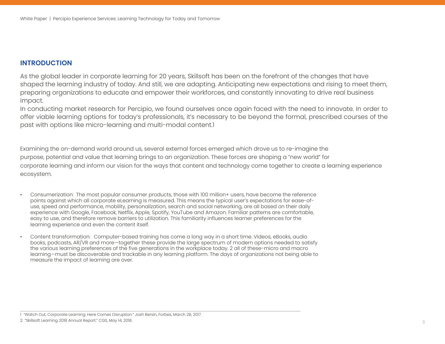## **INTRODUCTION**

As the global leader in corporate learning for 20 years, Skillsoft has been on the forefront of the changes that have shaped the learning industry of today. And still, we are adapting. Anticipating new expectations and rising to meet them, preparing organizations to educate and empower their workforces, and constantly innovating to drive real business impact.

In conducting market research for Percipio, we found ourselves once again faced with the need to innovate. In order to offer viable learning options for today's professionals, it's necessary to be beyond the formal, prescribed courses of the past with options like micro-learning and multi-modal content.1

Examining the on-demand world around us, several external forces emerged which drove us to re-imagine the purpose, potential and value that learning brings to an organization. These forces are shaping a "new world" for corporate learning and inform our vision for the ways that content and technology come together to create a learning experience ecosystem.

- Consumerization: The most popular consumer products, those with 100 million+ users, have become the reference points against which all corporate eLearning is measured. This means the typical user's expectations for ease-ofuse, speed and performance, mobility, personalization, search and social networking, are all based on their daily experience with Google, Facebook, Netflix, Apple, Spotify, YouTube and Amazon. Familiar patterns are comfortable, easy to use, and therefore remove barriers to utilization. This familiarity influences learner preferences for the learning experience and even the content itself.
- Content transformation: Computer-based training has come a long way in a short time. Videos, eBooks, audio books, podcasts, AR/VR and more—together these provide the large spectrum of modern options needed to satisfy the various learning preferences of the five generations in the workplace today. 2 all of these-micro and macro learning—must be discoverable and trackable in any learning platform. The days of organizations not being able to measure the impact of learning are over.

<sup>1 &</sup>quot;Watch Out, Corporate Learning: Here Comes Disruption." Josh Bersin, Forbes, March 28, 2017.

<sup>2 &</sup>quot;Skillsoft Learning 2018 Annual Report." CGS, May 14, 2018. 3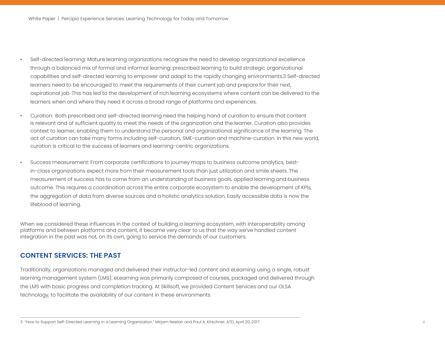- Self-directed learning: Mature learning organizations recognize the need to develop organizational excellence through a balanced mix of formal and informal learning: prescribed learning to build strategic organizational capabilities and self-directed learning to empower and adapt to the rapidly changing environments.3 Self-directed learners need to be encouraged to meet the requirements of their current job and prepare for their next, aspirational job. This has led to the development of rich learning ecosystems where content can be delivered to the learners when and where they need it across a broad range of platforms and experiences.
- Curation: Both prescribed and self-directed learning need the helping hand of curation to ensure that content is relevant and of sufficient quality to meet the needs of the organization and the learner. Curation also provides context to learner, enabling them to understand the personal and organizational significance of the learning. The act of curation can take many forms including self-curation, SME-curation and machine-curation. In this new world, curation is critical to the success of learners and learning-centric organizations.
- Success measurement: From corporate certifications to journey maps to business outcome analytics, bestin-class organizations expect more from their measurement tools than just utilization and smile sheets. The measurement of success has to come from an understanding of business goals, applied learning and business outcome. This requires a coordination across the entire corporate ecosystem to enable the development of KPIs, the aggregation of data from diverse sources and a holistic analytics solution. Easily accessible data is now the lifeblood of learning.

platforms and between platforms and content, it became very clear to us that the way we've handled content When we considered these influences in the context of building a learning ecosystem, with interoperability among integration in the past was not, on its own, going to service the demands of our customers.

### **CONTENT SERVICES: THE PAST**

Traditionally, organizations managed and delivered their instructor-led content and eLearning using a single, robust learning management system (LMS). eLearning was primarily composed of courses, packaged and delivered through the LMS with basic progress and completion tracking. At Skillsoft, we provided Content Services and our OLSA technology, to facilitate the availability of our content in these environments.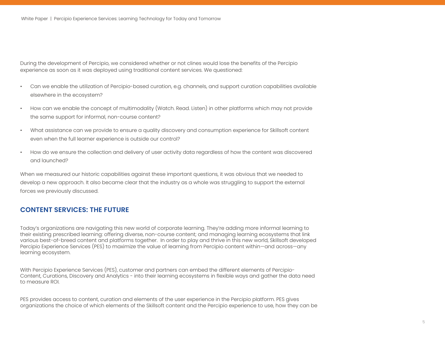experience as soon as it was deployed using traditional content services. We questioned: During the development of Percipio, we considered whether or not clines would lose the benefits of the Percipio

- Can we enable the utilization of Percipio-based curation, e.g. channels, and support curation capabilities available elsewhere in the ecosystem?
- How can we enable the concept of multimodality (Watch. Read. Listen) in other platforms which may not provide the same support for informal, non-course content?
- What assistance can we provide to ensure a quality discovery and consumption experience for Skillsoft content even when the full learner experience is outside our control?
- How do we ensure the collection and delivery of user activity data regardless of how the content was discovered and launched?

When we measured our historic capabilities against these important questions, it was obvious that we needed to develop a new approach. It also became clear that the industry as a whole was struggling to support the external forces we previously discussed.

#### **CONTENT SERVICES: THE FUTURE**

Today's organizations are navigating this new world of corporate learning. They're adding more informal learning to their existing prescribed learning: offering diverse, non-course content; and managing learning ecosystems that link various best-of-breed content and platforms together. In order to play and thrive in this new world, Skillsoft developed Percipio Experience Services (PES) to maximize the value of learning from Percipio content within—and across—any learning ecosystem.

With Percipio Experience Services (PES), customer and partners can embed the different elements of Percipio-Content, Curations, Discovery and Analytics - into their learning ecosystems in flexible ways and gather the data need to measure ROI.

PES provides access to content, curation and elements of the user experience in the Percipio platform. PES gives organizations the choice of which elements of the Skillsoft content and the Percipio experience to use, how they can be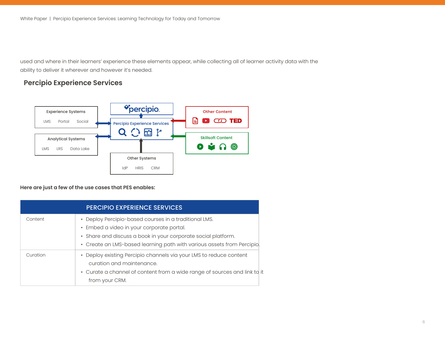used and where in their learners' experience these elements appear, while collecting all of learner activity data with the ability to deliver it wherever and however it's needed.

## **Percipio Experience Services**



**Here are just a few of the use cases that PES enables:**

|          | <b>PERCIPIO EXPERIENCE SERVICES</b>                                                                                                                                                                                                           |
|----------|-----------------------------------------------------------------------------------------------------------------------------------------------------------------------------------------------------------------------------------------------|
| Content  | • Deploy Percipio-based courses in a traditional LMS.<br>• Embed a video in your corporate portal.<br>• Share and discuss a book in your corporate social platform.<br>• Create an LMS-based learning path with various assets from Percipio. |
| Curation | • Deploy existing Percipio channels via your LMS to reduce content<br>curation and maintenance.<br>• Curate a channel of content from a wide range of sources and link to it<br>from your CRM.                                                |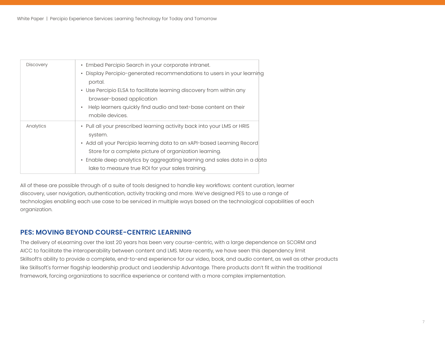| <b>Discovery</b> | • Embed Percipio Search in your corporate intranet.<br>• Display Percipio-generated recommendations to users in your learning<br>portal.<br>• Use Percipio ELSA to facilitate learning discovery from within any<br>browser-based application<br>Help learners quickly find audio and text-base content on their<br>$\bullet$<br>mobile devices.        |
|------------------|---------------------------------------------------------------------------------------------------------------------------------------------------------------------------------------------------------------------------------------------------------------------------------------------------------------------------------------------------------|
| Analytics        | • Pull all your prescribed learning activity back into your LMS or HRIS<br>system.<br>• Add all your Percipio learning data to an xAPI-based Learning Record<br>Store for a complete picture of organization learning.<br>• Enable deep analytics by aggregating learning and sales data in a data<br>lake to measure true ROI for your sales training. |

All of these are possible through of a suite of tools designed to handle key workflows: content curation, learner discovery, user navigation, authentication, activity tracking and more. We've designed PES to use a range of technologies enabling each use case to be serviced in multiple ways based on the technological capabilities of each organization.

### **PES: MOVING BEYOND COURSE-CENTRIC LEARNING**

The delivery of eLearning over the last 20 years has been very course-centric, with a large dependence on SCORM and AICC to facilitate the interoperability between content and LMS. More recently, we have seen this dependency limit Skillsoft's ability to provide a complete, end-to-end experience for our video, book, and audio content, as well as other products like Skillsoft's former flagship leadership product and Leadership Advantage. There products don't fit within the traditional framework, forcing organizations to sacrifice experience or contend with a more complex implementation.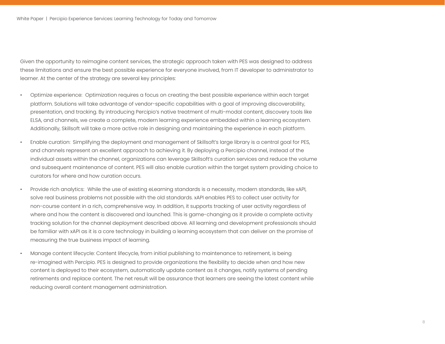Given the opportunity to reimagine content services, the strategic approach taken with PES was designed to address these limitations and ensure the best possible experience for everyone involved, from IT developer to administrator to learner. At the center of the strategy are several key principles:

- Optimize experience: Optimization requires a focus on creating the best possible experience within each target presentation, and tracking. By introducing Percipio's native treatment of multi-modal content, discovery tools like platform. Solutions will take advantage of vendor-specific capabilities with a goal of improving discoverability, ELSA, and channels, we create a complete, modern learning experience embedded within a learning ecosystem. Additionally, Skillsoft will take a more active role in designing and maintaining the experience in each platform.
- Enable curation: Simplifying the deployment and management of Skillsoft's large library is a central goal for PES, and channels represent an excellent approach to achieving it. By deploying a Percipio channel, instead of the individual assets within the channel, organizations can leverage Skillsoft's curation services and reduce the volume and subsequent maintenance of content. PES will also enable curation within the target system providing choice to curators for where and how curation occurs.
- Provide rich analytics: While the use of existing eLearning standards is a necessity, modern standards, like xAPI, solve real business problems not possible with the old standards. xAPI enables PES to collect user activity for non-course content in a rich, comprehensive way. In addition, it supports tracking of user activity regardless of where and how the content is discovered and launched. This is game-changing as it provide a complete activity tracking solution for the channel deployment described above. All learning and development professionals should be familiar with xAPI as it is a core technology in building a learning ecosystem that can deliver on the promise of measuring the true business impact of learning.
- Manage content lifecycle: Content lifecycle, from initial publishing to maintenance to retirement, is being content is deployed to their ecosystem, automatically update content as it changes, notify systems of pending re-imagined with Percipio. PES is designed to provide organizations the flexibility to decide when and how new retirements and replace content. The net result will be assurance that learners are seeing the latest content while reducing overall content management administration.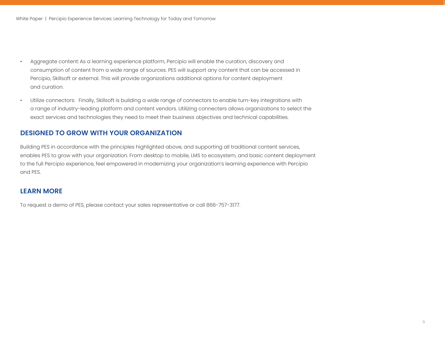- Aggregate content: As a learning experience platform, Percipio will enable the curation, discovery and consumption of content from a wide range of sources. PES will support any content that can be accessed in Percipio, Skillsoft or external. This will provide organizations additional options for content deployment and curation.
- Utilize connectors: Finally, Skillsoft is building a wide range of connectors to enable turn-key integrations with a range of industry-leading platform and content vendors. Utilizing connecters allows organizations to select the exact services and technologies they need to meet their business objectives and technical capabilities.

#### **DESIGNED TO GROW WITH YOUR ORGANIZATION**

Building PES in accordance with the principles highlighted above, and supporting all traditional content services, enables PES to grow with your organization. From desktop to mobile, LMS to ecosystem, and basic content deployment to the full Percipio experience, feel empowered in modernizing your organization's learning experience with Percipio and PES.

#### **LEARN MORE**

To request a demo of PES, please contact your sales representative or call 866-757-3177.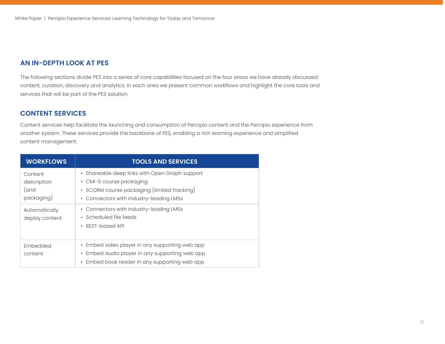## **AN IN-DEPTH LOOK AT PES**

The following sections divide PES into a series of core capabilities focused on the four areas we have already discussed: content, curation, discovery and analytics. In each area we present common workflows and highlight the core tools and services that will be part of the PES solution.

#### **CONTENT SERVICES**

Content services help facilitate the launching and consumption of Percipio content and the Percipio experience from another system. These services provide the backbone of PES, enabling a rich learning experience and simplified content management.

| <b>WORKFLOWS</b>                             | <b>TOOLS AND SERVICES</b>                                                                                                                                            |
|----------------------------------------------|----------------------------------------------------------------------------------------------------------------------------------------------------------------------|
| Content<br>description<br>(and<br>packaging) | • Shareable deep links with Open Graph support<br>• CMI-5 course packaging<br>· SCORM course packaging (limited tracking)<br>• Connectors with industry-leading LMSs |
| Automatically<br>deploy content              | • Connectors with industry-leading LMSs<br>• Scheduled file feeds<br>• REST-based API                                                                                |
| Embedded<br>content                          | • Embed video player in any supporting web app<br>• Embed audio player in any supporting web app<br>• Embed book reader in any supporting web app                    |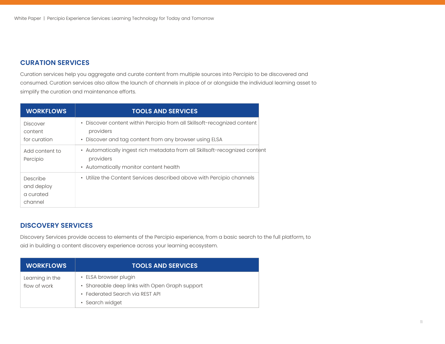### **CURATION SERVICES**

Curation services help you aggregate and curate content from multiple sources into Percipio to be discovered and consumed. Curation services also allow the launch of channels in place of or alongside the individual learning asset to simplify the curation and maintenance efforts.

| <b>WORKFLOWS</b>                               | <b>TOOLS AND SERVICES</b>                                                                                                                       |
|------------------------------------------------|-------------------------------------------------------------------------------------------------------------------------------------------------|
| <b>Discover</b><br>content<br>for curation     | • Discover content within Percipio from all Skillsoft-recognized content<br>providers<br>• Discover and tag content from any browser using ELSA |
| Add content to<br>Percipio                     | • Automatically ingest rich metadata from all Skillsoft-recognized content<br>providers<br>• Automatically monitor content health               |
| Describe<br>and deploy<br>a curated<br>channel | • Utilize the Content Services described above with Percipio channels                                                                           |

#### **DISCOVERY SERVICES**

Discovery Services provide access to elements of the Percipio experience, from a basic search to the full platform, to aid in building a content discovery experience across your learning ecosystem.

| <b>WORKFLOWS</b> | <b>TOOLS AND SERVICES</b>                      |
|------------------|------------------------------------------------|
| Learning in the  | • ELSA browser plugin                          |
| flow of work     | • Shareable deep links with Open Graph support |
|                  | • Federated Search via REST API                |
|                  | • Search widget                                |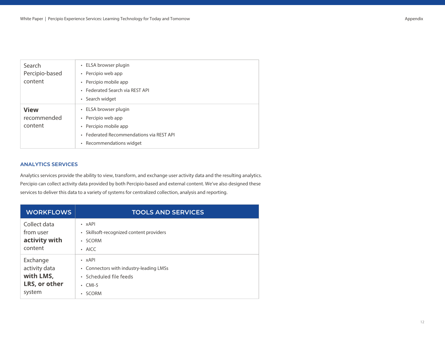| Search<br>Percipio-based<br>content   | • ELSA browser plugin<br>• Percipio web app<br>• Percipio mobile app<br>• Federated Search via REST API<br>• Search widget                   |
|---------------------------------------|----------------------------------------------------------------------------------------------------------------------------------------------|
| <b>View</b><br>recommended<br>content | • ELSA browser plugin<br>• Percipio web app<br>• Percipio mobile app<br>• Federated Recommendations via REST API<br>• Recommendations widget |

#### **ANALYTICS SERVICES**

Analytics services provide the ability to view, transform, and exchange user activity data and the resulting analytics. Percipio can collect activity data provided by both Percipio-based and external content. We've also designed these services to deliver this data to a variety of systems for centralized collection, analysis and reporting.

| <b>WORKFLOWS</b>                                                  | <b>TOOLS AND SERVICES</b>                                                                                               |
|-------------------------------------------------------------------|-------------------------------------------------------------------------------------------------------------------------|
| Collect data<br>from user<br>activity with<br>content             | $\cdot$ $xAP$<br>• Skillsoft-recognized content providers<br>• SCORM<br>$\cdot$ AICC                                    |
| Exchange<br>activity data<br>with LMS,<br>LRS, or other<br>system | $\cdot$ xAPI<br>• Connectors with industry-leading LMSs<br>• Scheduled file feeds<br>$\cdot$ CMI-5<br><b>SCORM</b><br>٠ |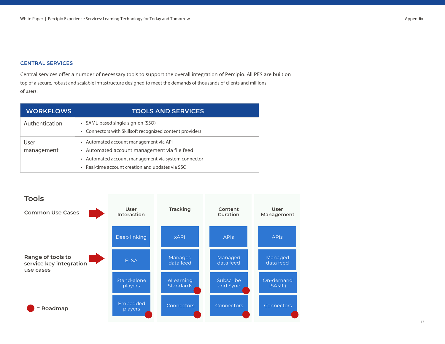#### **CENTRAL SERVICES**

Central services offer a number of necessary tools to support the overall integration of Percipio. All PES are built on top of a secure, robust and scalable infrastructure designed to meet the demands of thousands of clients and millions of users.

| <b>WORKFLOWS</b>   | <b>TOOLS AND SERVICES</b>                                                                                                                                                                         |
|--------------------|---------------------------------------------------------------------------------------------------------------------------------------------------------------------------------------------------|
| Authentication     | • SAML-based single-sign-on (SSO)<br>• Connectors with Skillsoft recognized content providers                                                                                                     |
| User<br>management | • Automated account management via API<br>• Automated account management via file feed<br>• Automated account management via system connector<br>• Real-time account creation and updates via SSO |

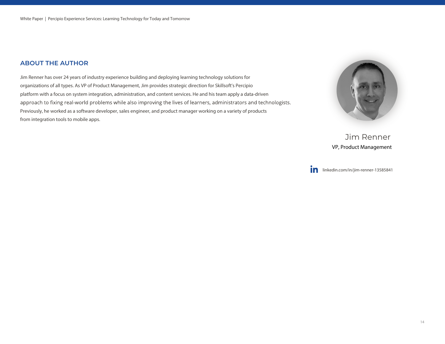#### **ABOUT THE AUTHOR**

Jim Renner has over 24 years of industry experience building and deploying learning technology solutions for organizations of all types. As VP of Product Management, Jim provides strategic direction for Skillsoft's Percipio platform with a focus on system integration, administration, and content services. He and his team apply a data-driven approach to fixing real-world problems while also improving the lives of learners, administrators and technologists. Previously, he worked as a software developer, sales engineer, and product manager working on a variety of products from integration tools to mobile apps.



Jim Renner VP, Product Management